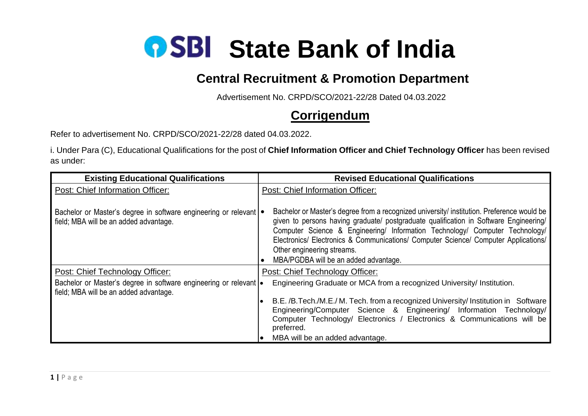

## **Central Recruitment & Promotion Department**

Advertisement No. CRPD/SCO/2021-22/28 Dated 04.03.2022

## **Corrigendum**

Refer to advertisement No. CRPD/SCO/2021-22/28 dated 04.03.2022.

i. Under Para (C), Educational Qualifications for the post of **Chief Information Officer and Chief Technology Officer** has been revised as under:

| <b>Existing Educational Qualifications</b>                                                                  | <b>Revised Educational Qualifications</b>                                                                                                                                                                                                                                                                                                                                                                                         |
|-------------------------------------------------------------------------------------------------------------|-----------------------------------------------------------------------------------------------------------------------------------------------------------------------------------------------------------------------------------------------------------------------------------------------------------------------------------------------------------------------------------------------------------------------------------|
| Post: Chief Information Officer:                                                                            | Post: Chief Information Officer:                                                                                                                                                                                                                                                                                                                                                                                                  |
| Bachelor or Master's degree in software engineering or relevant<br>field; MBA will be an added advantage.   | Bachelor or Master's degree from a recognized university/ institution. Preference would be<br>given to persons having graduate/ postgraduate qualification in Software Engineering/<br>Computer Science & Engineering/ Information Technology/ Computer Technology/<br>Electronics/ Electronics & Communications/ Computer Science/ Computer Applications/<br>Other engineering streams.<br>MBA/PGDBA will be an added advantage. |
| Post: Chief Technology Officer:                                                                             | Post: Chief Technology Officer:                                                                                                                                                                                                                                                                                                                                                                                                   |
| Bachelor or Master's degree in software engineering or relevant .<br>field; MBA will be an added advantage. | Engineering Graduate or MCA from a recognized University/ Institution.                                                                                                                                                                                                                                                                                                                                                            |
|                                                                                                             | B.E. /B. Tech./M.E./ M. Tech. from a recognized University/ Institution in Software<br>Engineering/Computer Science & Engineering/ Information Technology/<br>Computer Technology/ Electronics / Electronics & Communications will be<br>preferred.                                                                                                                                                                               |
|                                                                                                             | MBA will be an added advantage.                                                                                                                                                                                                                                                                                                                                                                                                   |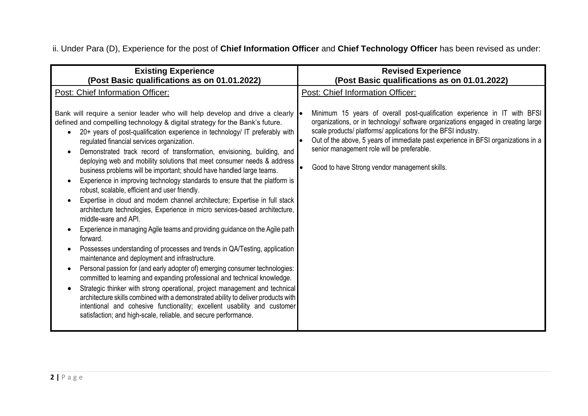ii. Under Para (D), Experience for the post of **Chief Information Officer** and **Chief Technology Officer** has been revised as under:

| <b>Existing Experience</b>                                                                                                                                                                                                                                                                                                                                                                                                                                                                                                                                                                                                                                                                                                                                                                                                                                                                                                                                                                                                                                                                                                                                                                                                                                                                                                                                                                                                                                                                                                                                         | <b>Revised Experience</b>                                                                                                                                                                                                                                                                                                                                                                                            |
|--------------------------------------------------------------------------------------------------------------------------------------------------------------------------------------------------------------------------------------------------------------------------------------------------------------------------------------------------------------------------------------------------------------------------------------------------------------------------------------------------------------------------------------------------------------------------------------------------------------------------------------------------------------------------------------------------------------------------------------------------------------------------------------------------------------------------------------------------------------------------------------------------------------------------------------------------------------------------------------------------------------------------------------------------------------------------------------------------------------------------------------------------------------------------------------------------------------------------------------------------------------------------------------------------------------------------------------------------------------------------------------------------------------------------------------------------------------------------------------------------------------------------------------------------------------------|----------------------------------------------------------------------------------------------------------------------------------------------------------------------------------------------------------------------------------------------------------------------------------------------------------------------------------------------------------------------------------------------------------------------|
| (Post Basic qualifications as on 01.01.2022)                                                                                                                                                                                                                                                                                                                                                                                                                                                                                                                                                                                                                                                                                                                                                                                                                                                                                                                                                                                                                                                                                                                                                                                                                                                                                                                                                                                                                                                                                                                       | (Post Basic qualifications as on 01.01.2022)                                                                                                                                                                                                                                                                                                                                                                         |
| Post: Chief Information Officer:                                                                                                                                                                                                                                                                                                                                                                                                                                                                                                                                                                                                                                                                                                                                                                                                                                                                                                                                                                                                                                                                                                                                                                                                                                                                                                                                                                                                                                                                                                                                   | Post: Chief Information Officer:                                                                                                                                                                                                                                                                                                                                                                                     |
| Bank will require a senior leader who will help develop and drive a clearly $\bullet$<br>defined and compelling technology & digital strategy for the Bank's future.<br>20+ years of post-qualification experience in technology/ IT preferably with<br>regulated financial services organization.<br>Demonstrated track record of transformation, envisioning, building, and<br>deploying web and mobility solutions that meet consumer needs & address<br>business problems will be important; should have handled large teams.<br>Experience in improving technology standards to ensure that the platform is<br>robust, scalable, efficient and user friendly.<br>Expertise in cloud and modern channel architecture; Expertise in full stack<br>architecture technologies, Experience in micro services-based architecture,<br>middle-ware and API.<br>Experience in managing Agile teams and providing guidance on the Agile path<br>forward.<br>Possesses understanding of processes and trends in QA/Testing, application<br>maintenance and deployment and infrastructure.<br>Personal passion for (and early adopter of) emerging consumer technologies:<br>committed to learning and expanding professional and technical knowledge.<br>Strategic thinker with strong operational, project management and technical<br>architecture skills combined with a demonstrated ability to deliver products with<br>intentional and cohesive functionality; excellent usability and customer<br>satisfaction; and high-scale, reliable, and secure performance. | Minimum 15 years of overall post-qualification experience in IT with BFSI<br>organizations, or in technology/ software organizations engaged in creating large<br>scale products/ platforms/ applications for the BFSI industry.<br>Out of the above, 5 years of immediate past experience in BFSI organizations in a<br>senior management role will be preferable.<br>Good to have Strong vendor management skills. |